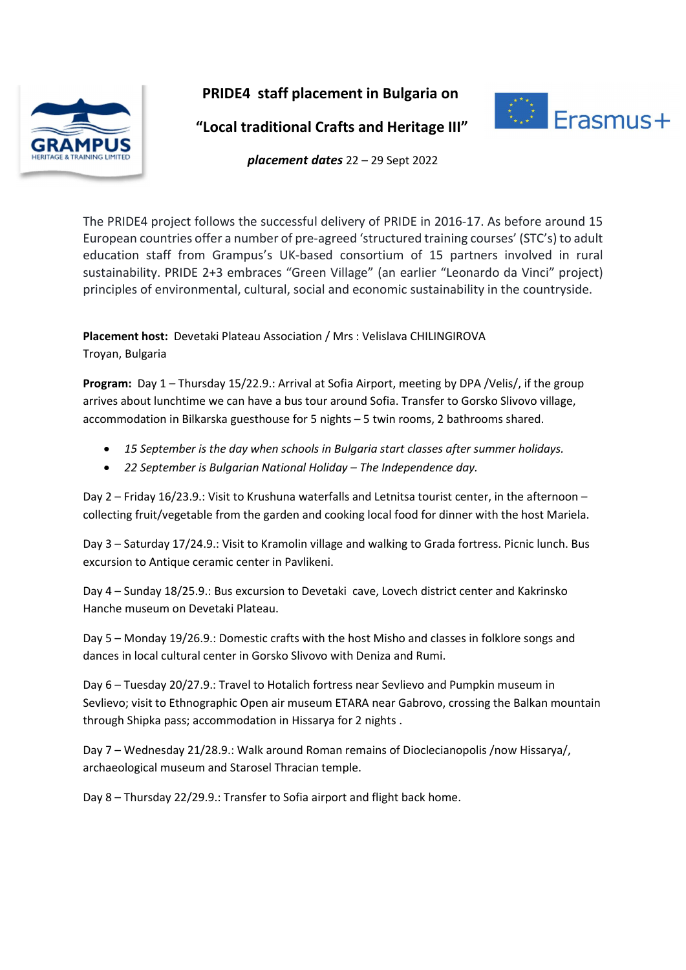

PRIDE4 staff placement in Bulgaria on



"Local traditional Crafts and Heritage III"

placement dates 22 – 29 Sept 2022

The PRIDE4 project follows the successful delivery of PRIDE in 2016-17. As before around 15 European countries offer a number of pre-agreed 'structured training courses' (STC's) to adult education staff from Grampus's UK-based consortium of 15 partners involved in rural sustainability. PRIDE 2+3 embraces "Green Village" (an earlier "Leonardo da Vinci" project) principles of environmental, cultural, social and economic sustainability in the countryside.

Placement host: Devetaki Plateau Association / Mrs : Velislava CHILINGIROVA Troyan, Bulgaria

Program: Day 1 – Thursday 15/22.9.: Arrival at Sofia Airport, meeting by DPA /Velis/, if the group arrives about lunchtime we can have a bus tour around Sofia. Transfer to Gorsko Slivovo village, accommodation in Bilkarska guesthouse for 5 nights – 5 twin rooms, 2 bathrooms shared.

- 15 September is the day when schools in Bulgaria start classes after summer holidays.
- 22 September is Bulgarian National Holiday The Independence day.

Day 2 – Friday 16/23.9.: Visit to Krushuna waterfalls and Letnitsa tourist center, in the afternoon – collecting fruit/vegetable from the garden and cooking local food for dinner with the host Mariela.

Day 3 – Saturday 17/24.9.: Visit to Kramolin village and walking to Grada fortress. Picnic lunch. Bus excursion to Antique ceramic center in Pavlikeni.

Day 4 – Sunday 18/25.9.: Bus excursion to Devetaki cave, Lovech district center and Kakrinsko Hanche museum on Devetaki Plateau.

Day 5 – Monday 19/26.9.: Domestic crafts with the host Misho and classes in folklore songs and dances in local cultural center in Gorsko Slivovo with Deniza and Rumi.

Day 6 – Tuesday 20/27.9.: Travel to Hotalich fortress near Sevlievo and Pumpkin museum in Sevlievo; visit to Ethnographic Open air museum ETARA near Gabrovo, crossing the Balkan mountain through Shipka pass; accommodation in Hissarya for 2 nights .

Day 7 – Wednesday 21/28.9.: Walk around Roman remains of Dioclecianopolis /now Hissarya/, archaeological museum and Starosel Thracian temple.

Day 8 – Thursday 22/29.9.: Transfer to Sofia airport and flight back home.